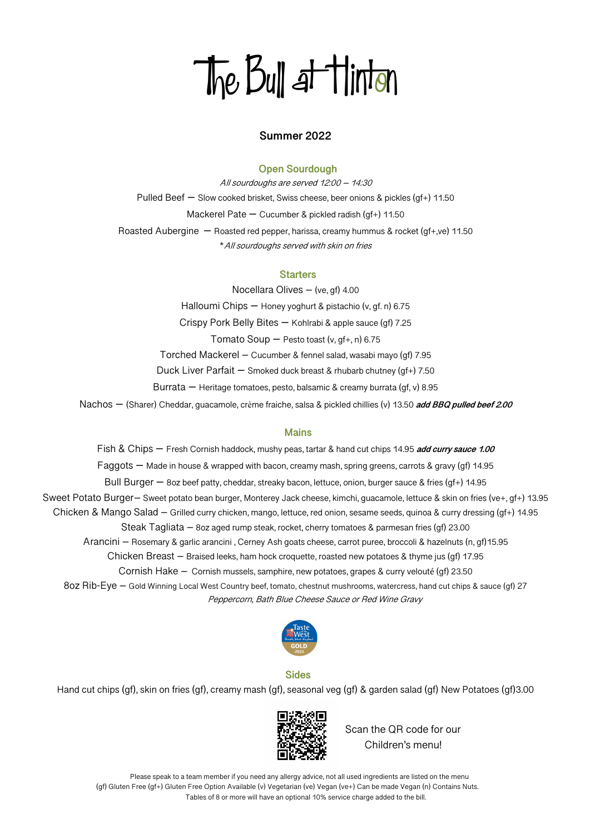# The Bull at Hinton

## **Summer 2022**

### **Open Sourdough**

All sourdoughs are served 12:00 – 14:30 Pulled Beef – Slow cooked brisket, Swiss cheese, beer onions & pickles (gf+) 11.50 Mackerel Pate – Cucumber & pickled radish (gf+) 11.50 Roasted Aubergine – Roasted red pepper, harissa, creamy hummus & rocket (gf+,ve) 11.50 \*All sourdoughs served with skin on fries

#### **Starters**

Nocellara Olives – (ve, gf) 4.00 Halloumi Chips – Honey yoghurt & pistachio (v, gf. n) 6.75 Crispy Pork Belly Bites – Kohlrabi & apple sauce (gf) 7.25 Tomato Soup  $-$  Pesto toast (v, gf+, n) 6.75 Torched Mackerel – Cucumber & fennel salad, wasabi mayo (gf) 7.95 Duck Liver Parfait – Smoked duck breast & rhubarb chutney (gf+) 7.50 Burrata – Heritage tomatoes, pesto, balsamic & creamy burrata (gf, v) 8.95 Nachos – (Sharer) Cheddar, guacamole, crème fraiche, salsa & pickled chillies (v) 13.50 **add BBQ pulled beef 2.00**

## **Mains**

Fish & Chips – Fresh Cornish haddock, mushy peas, tartar & hand cut chips 14.95 **add curry sauce 1.00** Faggots – Made in house & wrapped with bacon, creamy mash, spring greens, carrots & gravy (gf) 14.95 Bull Burger – 8oz beef patty, cheddar, streaky bacon, lettuce, onion, burger sauce & fries (gf+) 14.95 Sweet Potato Burger– Sweet potato bean burger, Monterey Jack cheese, kimchi, guacamole, lettuce & skin on fries (ve+, gf+) 13.95 Chicken & Mango Salad – Grilled curry chicken, mango, lettuce, red onion, sesame seeds, quinoa & curry dressing (gf+) 14.95 Steak Tagliata – 8oz aged rump steak, rocket, cherry tomatoes & parmesan fries (gf) 23.00 Arancini – Rosemary & garlic arancini , Cerney Ash goats cheese, carrot puree, broccoli & hazelnuts (n, gf)15.95 Chicken Breast – Braised leeks, ham hock croquette, roasted new potatoes & thyme jus (gf) 17.95 Cornish Hake – Cornish mussels, samphire, new potatoes, grapes & curry velouté (gf) 23.50 8oz Rib-Eye – Gold Winning Local West Country beef, tomato, chestnut mushrooms, watercress, hand cut chips & sauce (gf) 27 Peppercorn, Bath Blue Cheese Sauce or Red Wine Gravy



## **Sides**

Hand cut chips (gf), skin on fries (gf), creamy mash (gf), seasonal veg (gf) & garden salad (gf) New Potatoes (gf)3.00



Scan the QR code for our Children's menu!

 Please speak to a team member if you need any allergy advice, not all used ingredients are listed on the menu (gf) Gluten Free (gf+) Gluten Free Option Available (v) Vegetarian (ve) Vegan (ve+) Can be made Vegan (n) Contains Nuts. Tables of 8 or more will have an optional 10% service charge added to the bill.